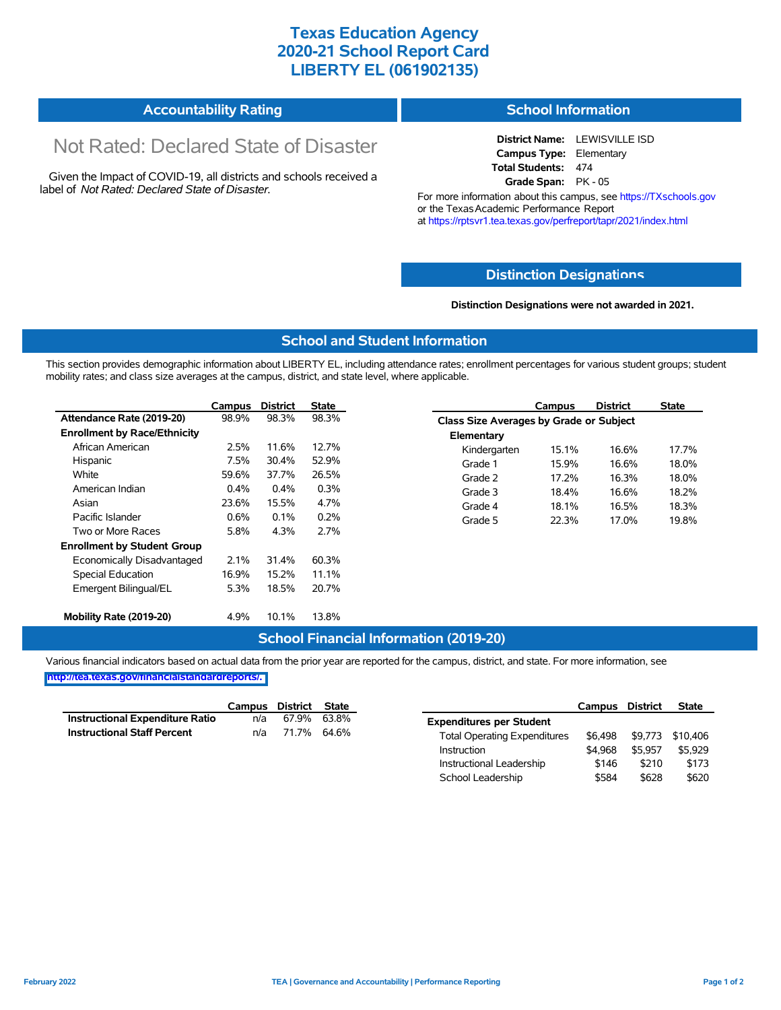## **Texas Education Agency 2020-21 School Report Card LIBERTY EL (061902135)**

| <b>Accountability Rating</b> | <b>School Information</b> |
|------------------------------|---------------------------|
|------------------------------|---------------------------|

# Not Rated: Declared State of Disaster

Given the Impact of COVID-19, all districts and schools received a label of *Not Rated: Declared State of Disaster.*

**District Name:** LEWISVILLE ISD **Campus Type:** Elementary **Total Students:** 474 **Grade Span:** PK - 05

For more information about this campus, see https://TXschools.gov or the Texas Academic Performance Report at https://rptsvr1.tea.texas.gov/perfreport/tapr/2021/index.html

#### **Distinction Designat[ions](https://TXschools.gov)**

**Distinction Designations were not awarded in 2021.**

School Leadership  $$584$  \$628 \$620

#### **School and Student Information**

This section provides demographic information about LIBERTY EL, including attendance rates; enrollment percentages for various student groups; student mobility rates; and class size averages at the campus, district, and state level, where applicable.

|                                     | Campus | <b>District</b> | <b>State</b> | <b>District</b><br>Campus               | <b>State</b> |
|-------------------------------------|--------|-----------------|--------------|-----------------------------------------|--------------|
| Attendance Rate (2019-20)           | 98.9%  | 98.3%           | 98.3%        | Class Size Averages by Grade or Subject |              |
| <b>Enrollment by Race/Ethnicity</b> |        |                 |              | Elementary                              |              |
| African American                    | 2.5%   | 11.6%           | 12.7%        | 16.6%<br>15.1%<br>Kindergarten          | 17.7%        |
| Hispanic                            | 7.5%   | 30.4%           | 52.9%        | 15.9%<br>Grade 1<br>16.6%               | 18.0%        |
| White                               | 59.6%  | 37.7%           | 26.5%        | 17.2%<br>16.3%<br>Grade 2               | 18.0%        |
| American Indian                     | 0.4%   | 0.4%            | 0.3%         | Grade 3<br>16.6%<br>18.4%               | 18.2%        |
| Asian                               | 23.6%  | 15.5%           | 4.7%         | 16.5%<br>Grade 4<br>18.1%               | 18.3%        |
| Pacific Islander                    | 0.6%   | 0.1%            | 0.2%         | 22.3%<br>17.0%<br>Grade 5               | 19.8%        |
| Two or More Races                   | 5.8%   | 4.3%            | 2.7%         |                                         |              |
| <b>Enrollment by Student Group</b>  |        |                 |              |                                         |              |
| Economically Disadvantaged          | 2.1%   | 31.4%           | 60.3%        |                                         |              |
| Special Education                   | 16.9%  | 15.2%           | 11.1%        |                                         |              |
| Emergent Bilingual/EL               | 5.3%   | 18.5%           | 20.7%        |                                         |              |
|                                     |        |                 |              |                                         |              |
| Mobility Rate (2019-20)             | 4.9%   | 10.1%           | 13.8%        |                                         |              |

#### **School Financial Information (2019-20)**

Various financial indicators based on actual data from the prior year are reported for the campus, district, and state. For more information, see

**[http://tea.texas.gov/financialstandardreports/.](http://tea.texas.gov/financialstandardreports/)**

|                                        | Campus | District    | State |                                     | Campus  | <b>District</b> | <b>State</b>     |
|----------------------------------------|--------|-------------|-------|-------------------------------------|---------|-----------------|------------------|
| <b>Instructional Expenditure Ratio</b> | n/a    | 67.9%       | 63.8% | <b>Expenditures per Student</b>     |         |                 |                  |
| <b>Instructional Staff Percent</b>     | n/a    | 71.7% 64.6% |       | <b>Total Operating Expenditures</b> | \$6.498 |                 | \$9,773 \$10,406 |
|                                        |        |             |       | Instruction                         | \$4.968 | \$5.957         | \$5,929          |
|                                        |        |             |       | Instructional Leadership            | \$146   | \$210           | \$173            |